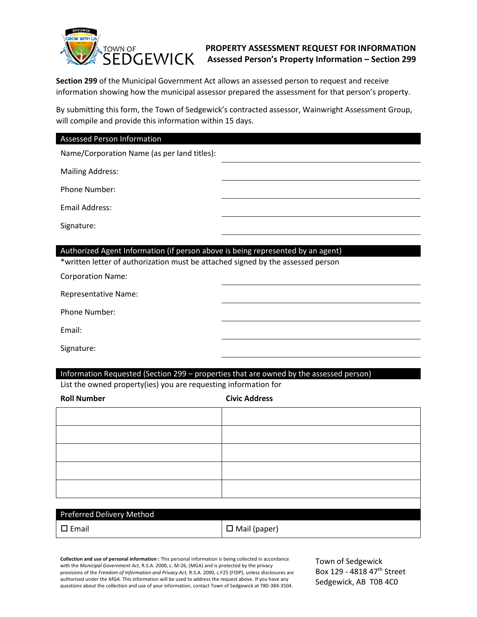

## **PROPERTY ASSESSMENT REQUEST FOR INFORMATION Assessed Person's Property Information – Section 299**

**Section 299** of the Municipal Government Act allows an assessed person to request and receive information showing how the municipal assessor prepared the assessment for that person's property.

By submitting this form, the Town of Sedgewick's contracted assessor, Wainwright Assessment Group, will compile and provide this information within 15 days.

## Assessed Person Information

Name/Corporation Name (as per land titles):

Mailing Address:

Phone Number:

Email Address:

Signature:

## Authorized Agent Information (if person above is being represented by an agent)

\*written letter of authorization must be attached signed by the assessed person

Corporation Name:

Representative Name:

Phone Number:

Email:

Signature:

#### Information Requested (Section 299 – properties that are owned by the assessed person)

List the owned property(ies) you are requesting information for

**Roll Number Civic Address**

| Preferred Delivery Method |  |
|---------------------------|--|

| $\square$ Email | $\Box$ Mail (paper) |
|-----------------|---------------------|

**Collection and use of personal information :** This personal information is being collected in accordance with the *Municipal Government Act*, R.S.A. 2000, c. M-26, (MGA) and is protected by the privacy provisions of the *Freedom of Information and Privacy Act,* R.S.A. 2000, c.F25 (FOIP), unless disclosures are authorized under the *MGA*. This information will be used to address the request above. If you have any questions about the collection and use of your information, contact Town of Sedgewick at 780-384-3504.

Town of Sedgewick Box 129 - 4818 47<sup>th</sup> Street Sedgewick, AB T0B 4C0